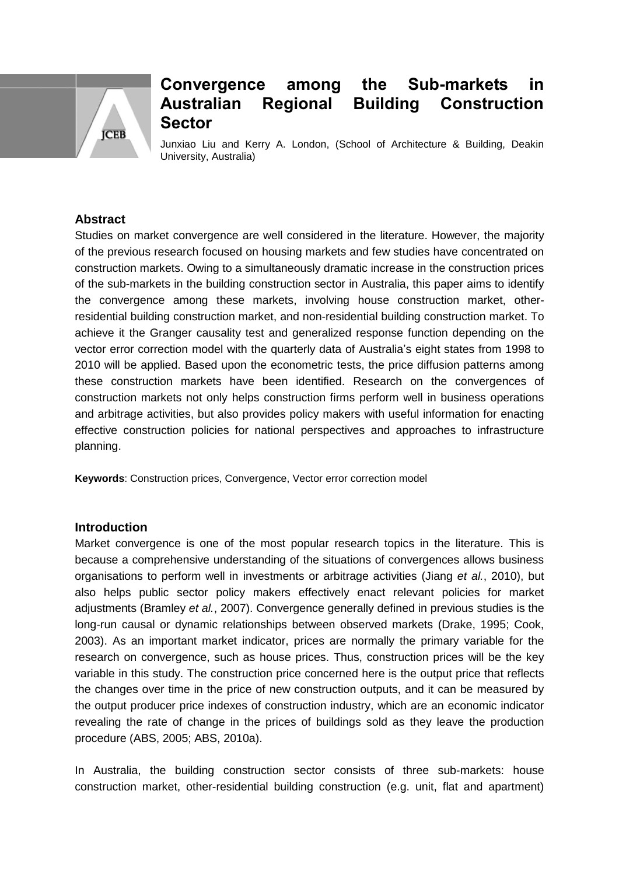

# **Convergence among the Sub-markets in Australian Regional Building Construction Sector**

Junxiao Liu and Kerry A. London, (School of Architecture & Building, Deakin University, Australia)

### **Abstract**

Studies on market convergence are well considered in the literature. However, the majority of the previous research focused on housing markets and few studies have concentrated on construction markets. Owing to a simultaneously dramatic increase in the construction prices of the sub-markets in the building construction sector in Australia, this paper aims to identify the convergence among these markets, involving house construction market, otherresidential building construction market, and non-residential building construction market. To achieve it the Granger causality test and generalized response function depending on the vector error correction model with the quarterly data of Australia's eight states from 1998 to 2010 will be applied. Based upon the econometric tests, the price diffusion patterns among these construction markets have been identified. Research on the convergences of construction markets not only helps construction firms perform well in business operations and arbitrage activities, but also provides policy makers with useful information for enacting effective construction policies for national perspectives and approaches to infrastructure planning.

**Keywords**: Construction prices, Convergence, Vector error correction model

#### **Introduction**

Market convergence is one of the most popular research topics in the literature. This is because a comprehensive understanding of the situations of convergences allows business organisations to perform well in investments or arbitrage activities (Jiang *et al.*, 2010), but also helps public sector policy makers effectively enact relevant policies for market adjustments (Bramley *et al.*, 2007). Convergence generally defined in previous studies is the long-run causal or dynamic relationships between observed markets (Drake, 1995; Cook, 2003). As an important market indicator, prices are normally the primary variable for the research on convergence, such as house prices. Thus, construction prices will be the key variable in this study. The construction price concerned here is the output price that reflects the changes over time in the price of new construction outputs, and it can be measured by the output producer price indexes of construction industry, which are an economic indicator revealing the rate of change in the prices of buildings sold as they leave the production procedure (ABS, 2005; ABS, 2010a).

In Australia, the building construction sector consists of three sub-markets: house construction market, other-residential building construction (e.g. unit, flat and apartment)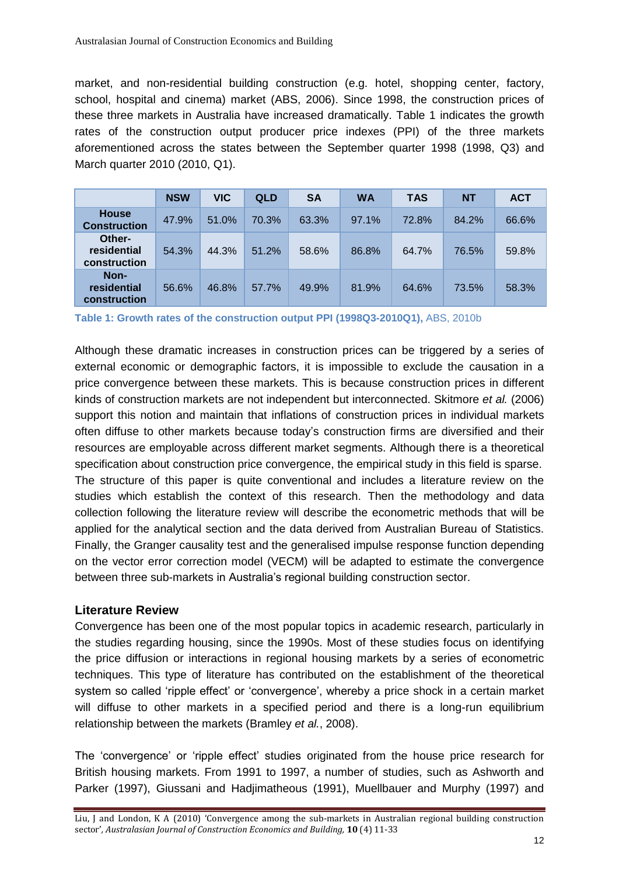market, and non-residential building construction (e.g. hotel, shopping center, factory, school, hospital and cinema) market (ABS, 2006). Since 1998, the construction prices of these three markets in Australia have increased dramatically. Table 1 indicates the growth rates of the construction output producer price indexes (PPI) of the three markets aforementioned across the states between the September quarter 1998 (1998, Q3) and March quarter 2010 (2010, Q1).

|                                       | <b>NSW</b> | <b>VIC</b> | <b>QLD</b> | <b>SA</b> | <b>WA</b> | <b>TAS</b> | <b>NT</b> | <b>ACT</b> |
|---------------------------------------|------------|------------|------------|-----------|-----------|------------|-----------|------------|
| <b>House</b><br><b>Construction</b>   | 47.9%      | 51.0%      | 70.3%      | 63.3%     | 97.1%     | 72.8%      | 84.2%     | 66.6%      |
| Other-<br>residential<br>construction | 54.3%      | 44.3%      | 51.2%      | 58.6%     | 86.8%     | 64.7%      | 76.5%     | 59.8%      |
| Non-<br>residential<br>construction   | 56.6%      | 46.8%      | 57.7%      | 49.9%     | 81.9%     | 64.6%      | 73.5%     | 58.3%      |

**Table 1: Growth rates of the construction output PPI (1998Q3-2010Q1),** ABS, 2010b

Although these dramatic increases in construction prices can be triggered by a series of external economic or demographic factors, it is impossible to exclude the causation in a price convergence between these markets. This is because construction prices in different kinds of construction markets are not independent but interconnected. Skitmore *et al.* (2006) support this notion and maintain that inflations of construction prices in individual markets often diffuse to other markets because today's construction firms are diversified and their resources are employable across different market segments. Although there is a theoretical specification about construction price convergence, the empirical study in this field is sparse. The structure of this paper is quite conventional and includes a literature review on the studies which establish the context of this research. Then the methodology and data collection following the literature review will describe the econometric methods that will be applied for the analytical section and the data derived from Australian Bureau of Statistics. Finally, the Granger causality test and the generalised impulse response function depending on the vector error correction model (VECM) will be adapted to estimate the convergence between three sub-markets in Australia's regional building construction sector.

### **Literature Review**

Convergence has been one of the most popular topics in academic research, particularly in the studies regarding housing, since the 1990s. Most of these studies focus on identifying the price diffusion or interactions in regional housing markets by a series of econometric techniques. This type of literature has contributed on the establishment of the theoretical system so called 'ripple effect' or 'convergence', whereby a price shock in a certain market will diffuse to other markets in a specified period and there is a long-run equilibrium relationship between the markets (Bramley *et al.*, 2008).

The 'convergence' or 'ripple effect' studies originated from the house price research for British housing markets. From 1991 to 1997, a number of studies, such as Ashworth and Parker (1997), Giussani and Hadjimatheous (1991), Muellbauer and Murphy (1997) and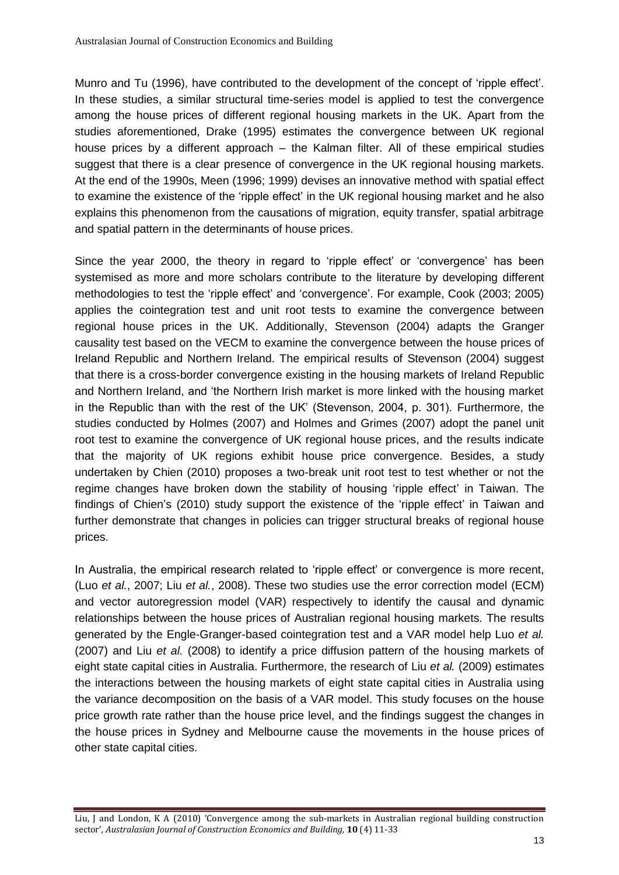Munro and Tu (1996), have contributed to the development of the concept of 'ripple effect'. In these studies, a similar structural time-series model is applied to test the convergence among the house prices of different regional housing markets in the UK. Apart from the studies aforementioned, Drake (1995) estimates the convergence between UK regional house prices by a different approach – the Kalman filter. All of these empirical studies suggest that there is a clear presence of convergence in the UK regional housing markets. At the end of the 1990s, Meen (1996; 1999) devises an innovative method with spatial effect to examine the existence of the 'ripple effect' in the UK regional housing market and he also explains this phenomenon from the causations of migration, equity transfer, spatial arbitrage and spatial pattern in the determinants of house prices.

Since the year 2000, the theory in regard to 'ripple effect' or 'convergence' has been systemised as more and more scholars contribute to the literature by developing different methodologies to test the 'ripple effect' and 'convergence'. For example, Cook (2003; 2005) applies the cointegration test and unit root tests to examine the convergence between regional house prices in the UK. Additionally, Stevenson (2004) adapts the Granger causality test based on the VECM to examine the convergence between the house prices of Ireland Republic and Northern Ireland. The empirical results of Stevenson (2004) suggest that there is a cross-border convergence existing in the housing markets of Ireland Republic and Northern Ireland, and 'the Northern Irish market is more linked with the housing market in the Republic than with the rest of the UK' (Stevenson, 2004, p. 301). Furthermore, the studies conducted by Holmes (2007) and Holmes and Grimes (2007) adopt the panel unit root test to examine the convergence of UK regional house prices, and the results indicate that the majority of UK regions exhibit house price convergence. Besides, a study undertaken by Chien (2010) proposes a two-break unit root test to test whether or not the regime changes have broken down the stability of housing 'ripple effect' in Taiwan. The findings of Chien's (2010) study support the existence of the 'ripple effect' in Taiwan and further demonstrate that changes in policies can trigger structural breaks of regional house prices.

In Australia, the empirical research related to 'ripple effect' or convergence is more recent, (Luo *et al.*, 2007; Liu *et al.*, 2008). These two studies use the error correction model (ECM) and vector autoregression model (VAR) respectively to identify the causal and dynamic relationships between the house prices of Australian regional housing markets. The results generated by the Engle-Granger-based cointegration test and a VAR model help Luo *et al.* (2007) and Liu *et al.* (2008) to identify a price diffusion pattern of the housing markets of eight state capital cities in Australia. Furthermore, the research of Liu *et al.* (2009) estimates the interactions between the housing markets of eight state capital cities in Australia using the variance decomposition on the basis of a VAR model. This study focuses on the house price growth rate rather than the house price level, and the findings suggest the changes in the house prices in Sydney and Melbourne cause the movements in the house prices of other state capital cities.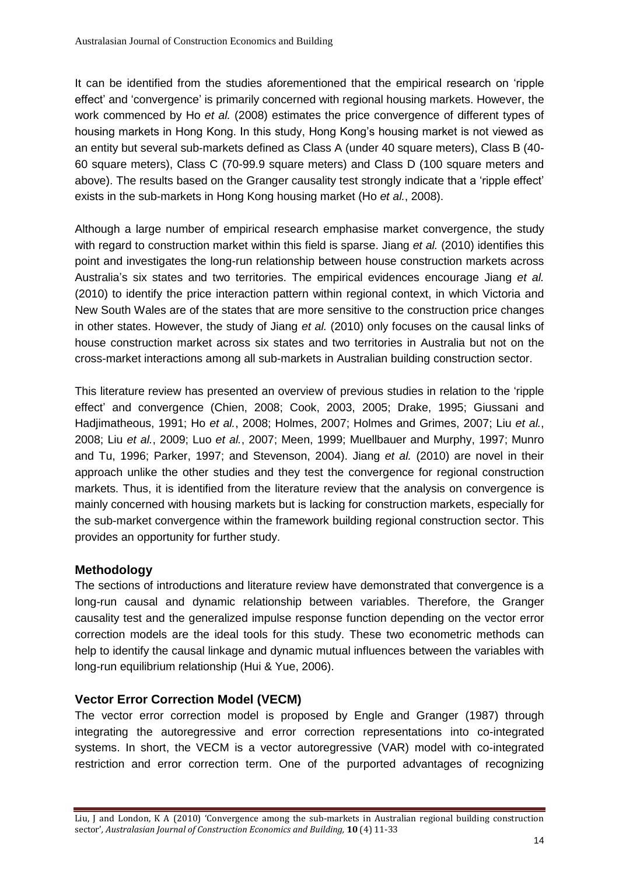It can be identified from the studies aforementioned that the empirical research on 'ripple effect' and 'convergence' is primarily concerned with regional housing markets. However, the work commenced by Ho *et al.* (2008) estimates the price convergence of different types of housing markets in Hong Kong. In this study, Hong Kong's housing market is not viewed as an entity but several sub-markets defined as Class A (under 40 square meters), Class B (40- 60 square meters), Class C (70-99.9 square meters) and Class D (100 square meters and above). The results based on the Granger causality test strongly indicate that a 'ripple effect' exists in the sub-markets in Hong Kong housing market (Ho *et al.*, 2008).

Although a large number of empirical research emphasise market convergence, the study with regard to construction market within this field is sparse. Jiang *et al.* (2010) identifies this point and investigates the long-run relationship between house construction markets across Australia's six states and two territories. The empirical evidences encourage Jiang *et al.* (2010) to identify the price interaction pattern within regional context, in which Victoria and New South Wales are of the states that are more sensitive to the construction price changes in other states. However, the study of Jiang *et al.* (2010) only focuses on the causal links of house construction market across six states and two territories in Australia but not on the cross-market interactions among all sub-markets in Australian building construction sector.

This literature review has presented an overview of previous studies in relation to the 'ripple effect' and convergence (Chien, 2008; Cook, 2003, 2005; Drake, 1995; Giussani and Hadjimatheous, 1991; Ho *et al.*, 2008; Holmes, 2007; Holmes and Grimes, 2007; Liu *et al.*, 2008; Liu *et al.*, 2009; Luo *et al.*, 2007; Meen, 1999; Muellbauer and Murphy, 1997; Munro and Tu, 1996; Parker, 1997; and Stevenson, 2004). Jiang *et al.* (2010) are novel in their approach unlike the other studies and they test the convergence for regional construction markets. Thus, it is identified from the literature review that the analysis on convergence is mainly concerned with housing markets but is lacking for construction markets, especially for the sub-market convergence within the framework building regional construction sector. This provides an opportunity for further study.

### **Methodology**

The sections of introductions and literature review have demonstrated that convergence is a long-run causal and dynamic relationship between variables. Therefore, the Granger causality test and the generalized impulse response function depending on the vector error correction models are the ideal tools for this study. These two econometric methods can help to identify the causal linkage and dynamic mutual influences between the variables with long-run equilibrium relationship (Hui & Yue, 2006).

### **Vector Error Correction Model (VECM)**

The vector error correction model is proposed by Engle and Granger (1987) through integrating the autoregressive and error correction representations into co-integrated systems. In short, the VECM is a vector autoregressive (VAR) model with co-integrated restriction and error correction term. One of the purported advantages of recognizing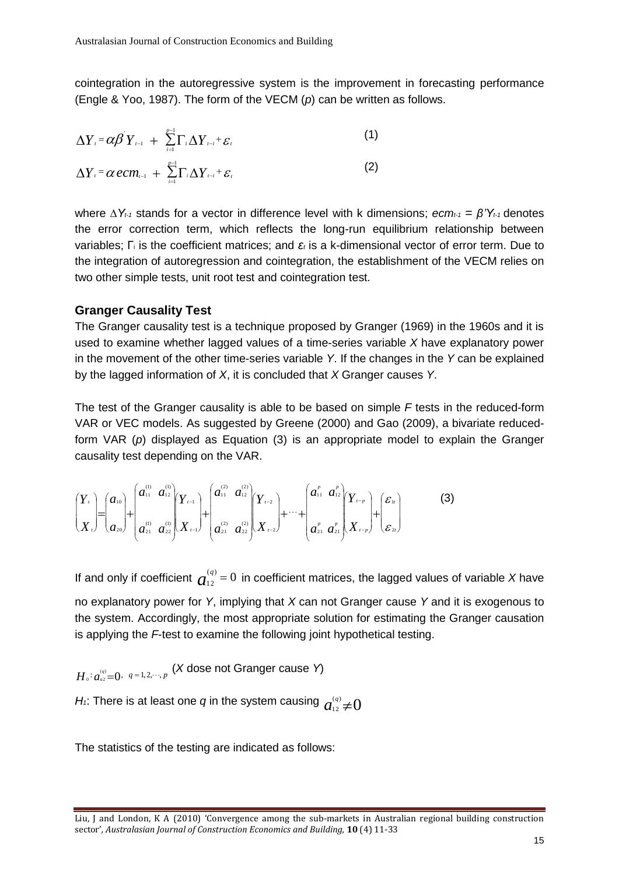cointegration in the autoregressive system is the improvement in forecasting performance (Engle & Yoo, 1987). The form of the VECM (*p*) can be written as follows.

$$
\Delta Y_{i} = \alpha \beta^{i} Y_{i-1} + \sum_{i=1}^{p-1} \Gamma_{i} \Delta Y_{i-i} + \varepsilon_{i}
$$
\n
$$
\Delta Y_{i} = \alpha e cm_{i-1} + \sum_{i=1}^{p-1} \Gamma_{i} \Delta Y_{i-i} + \varepsilon_{i}
$$
\n(2)

where *∆Yt-1* stands for a vector in difference level with k dimensions; *ecmt-1* = *β'Yt-1* denotes the error correction term, which reflects the long-run equilibrium relationship between variables; Γ<sup>i</sup> is the coefficient matrices; and *ε<sup>t</sup>* is a k-dimensional vector of error term. Due to the integration of autoregression and cointegration, the establishment of the VECM relies on two other simple tests, unit root test and cointegration test.

#### **Granger Causality Test**

The Granger causality test is a technique proposed by Granger (1969) in the 1960s and it is used to examine whether lagged values of a time-series variable *X* have explanatory power in the movement of the other time-series variable *Y*. If the changes in the *Y* can be explained by the lagged information of *X*, it is concluded that *X* Granger causes *Y*.

The test of the Granger causality is able to be based on simple *F* tests in the reduced-form VAR or VEC models. As suggested by Greene (2000) and Gao (2009), a bivariate reducedform VAR (*p*) displayed as Equation (3) is an appropriate model to explain the Granger causality test depending on the VAR.

$$
\begin{pmatrix} Y_{1} \\ X_{2} \end{pmatrix} = \begin{pmatrix} a_{10} \\ a_{21} \end{pmatrix} + \begin{pmatrix} a_{11}^{(1)} & a_{12}^{(1)} \\ a_{21}^{(1)} & a_{22}^{(1)} \end{pmatrix} \begin{pmatrix} Y_{1-1} \\ X_{21} \end{pmatrix} + \begin{pmatrix} a_{11}^{(2)} & a_{12}^{(2)} \\ a_{21}^{(2)} & a_{22}^{(2)} \end{pmatrix} \begin{pmatrix} Y_{1-2} \\ X_{1-2} \end{pmatrix} + \cdots + \begin{pmatrix} a_{11}^{p} & a_{12}^{p} \\ a_{21}^{p} & a_{21}^{p} \end{pmatrix} \begin{pmatrix} Y_{1-p} \\ X_{1-p} \end{pmatrix} + \begin{pmatrix} \mathcal{E}_{1r} \\ \mathcal{E}_{2r} \end{pmatrix}
$$
 (3)

If and only if coefficient  $q_{12}^{(q)} = 0$  in coefficient matrices, the lagged values of variable X have no explanatory power for *Y*, implying that *X* can not Granger cause *Y* and it is exogenous to the system. Accordingly, the most appropriate solution for estimating the Granger causation is applying the *F*-test to examine the following joint hypothetical testing.

 $H_{\text{o}}$ :  $a_{\scriptscriptstyle a2}^{\scriptscriptstyle (q)}$ =0,  $\scriptstyle q$ =1,2, $\cdots$ ,  $\scriptstyle p$  (*X* dose not Granger cause *Y*)

*H*<sub>1</sub>: There is at least one *q* in the system causing  $a_{12}^{(q)}$   $\neq$   $0$ 

The statistics of the testing are indicated as follows: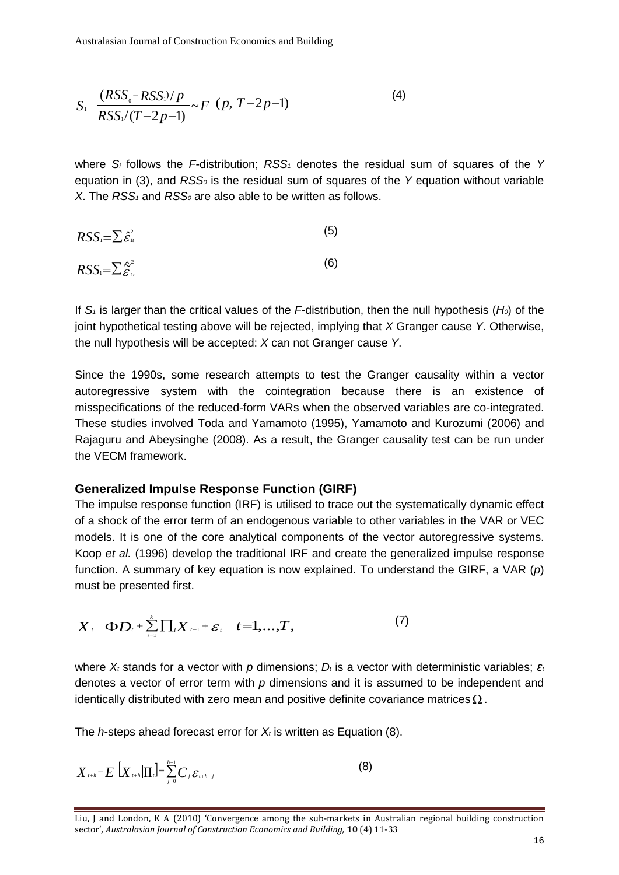$$
S_1 = \frac{(RSS_0 - RSS_1)/p}{RSS_1/(T-2p-1)} \sim F \ (p, T-2p-1)
$$
 (4)

where *S<sup>i</sup>* follows the *F*-distribution; *RSS<sup>1</sup>* denotes the residual sum of squares of the *Y*  equation in (3), and *RSS<sup>0</sup>* is the residual sum of squares of the *Y* equation without variable *X*. The *RSS<sup>1</sup>* and *RSS<sup>0</sup>* are also able to be written as follows.

$$
RSS1 = \sum \hat{\varepsilon}_{1t}^{2}
$$
\n
$$
RSS1 = \sum \hat{\varepsilon}_{1t}^{2}
$$
\n(6)

If *S<sup>1</sup>* is larger than the critical values of the *F*-distribution, then the null hypothesis (*H0*) of the joint hypothetical testing above will be rejected, implying that *X* Granger cause *Y*. Otherwise, the null hypothesis will be accepted: *X* can not Granger cause *Y*.

 $\sim$  I'. (p,  $T - 2p - 1$ )<br>
<br>  $\sim$  F-distribution; RSS, donotes the residual sum of squares of the Y<br>
SSS, is the residual sum of squares of the Y equation without variables<br>
or a is to residual sum of squares of the Y equa Since the 1990s, some research attempts to test the Granger causality within a vector autoregressive system with the cointegration because there is an existence of misspecifications of the reduced-form VARs when the observed variables are co-integrated. These studies involved Toda and Yamamoto (1995), Yamamoto and Kurozumi (2006) and Rajaguru and Abeysinghe (2008). As a result, the Granger causality test can be run under the VECM framework.

#### **Generalized Impulse Response Function (GIRF)**

The impulse response function (IRF) is utilised to trace out the systematically dynamic effect of a shock of the error term of an endogenous variable to other variables in the VAR or VEC models. It is one of the core analytical components of the vector autoregressive systems. Koop *et al.* (1996) develop the traditional IRF and create the generalized impulse response function. A summary of key equation is now explained. To understand the GIRF, a VAR (*p*) must be presented first.

$$
X_{t} = \Phi D_{t} + \sum_{i=1}^{k} \prod_{i} X_{t-1} + \varepsilon_{t} \quad t = 1,...,T, \qquad (7)
$$

where *X<sup>t</sup>* stands for a vector with *p* dimensions; *D<sup>t</sup>* is a vector with deterministic variables; *ε<sup>t</sup>* denotes a vector of error term with *p* dimensions and it is assumed to be independent and identically distributed with zero mean and positive definite covariance matrices  $\Omega$  .

The *h*-steps ahead forecast error for *X<sup>t</sup>* is written as Equation (8).

$$
X_{t+h} - E\left[X_{t+h}|\Pi_t\right] = \sum_{j=0}^{h-1} C_j \varepsilon_{t+h-j}
$$
\n(8)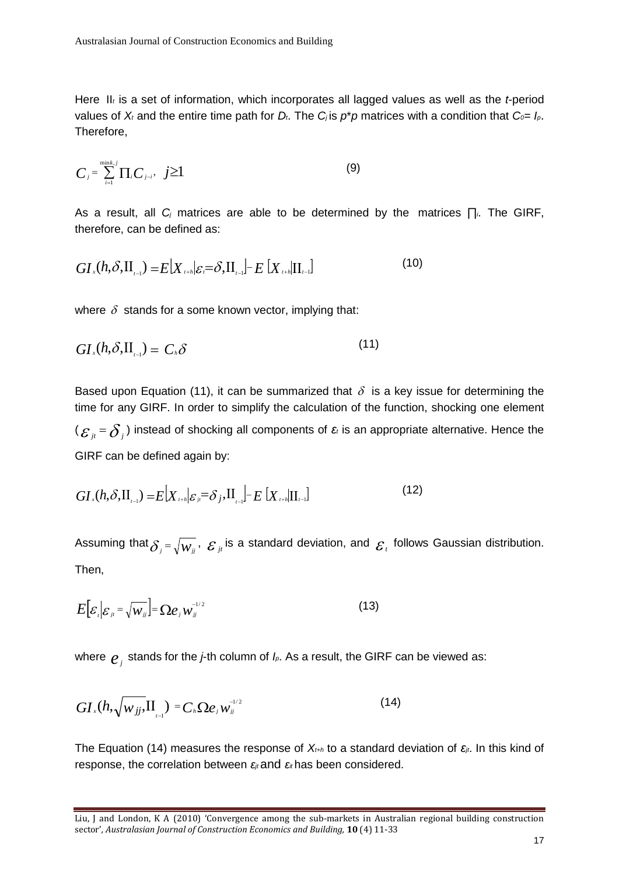Here II*<sup>t</sup>* is a set of information, which incorporates all lagged values as well as the *t*-period values of  $X_t$  and the entire time path for  $D_t$ . The  $C_j$  is  $p^*p$  matrices with a condition that  $C_0 = I_p$ . Therefore,

$$
C_j = \sum_{i=1}^{\min k, j} \prod_i C_{j-i}, \quad j \geq 1
$$
 (9)

As a result, all *C<sup>j</sup>* matrices are able to be determined by the matrices ∏*i*. The GIRF, therefore, can be defined as:

$$
GI_{x}(h,\delta,\Pi_{t-1})=E[X_{t+h}|\varepsilon=\delta,\Pi_{t-1}]-E[X_{t+h}|\Pi_{t-1}]
$$
\n(10)

where  $\delta$  stands for a some known vector, implying that:

$$
GI_{\scriptscriptstyle \lambda}(h,\delta,\Pi_{\scriptscriptstyle \mu\alpha})=C_{\scriptscriptstyle \lambda}\delta\tag{11}
$$

Based upon Equation (11), it can be summarized that  $\delta$  is a key issue for determining the time for any GIRF. In order to simplify the calculation of the function, shocking one element  $({\cal E}_{it}$  =  ${\cal \hat S}_j$ ) instead of shocking all components of  ${\cal E}_t$  is an appropriate alternative. Hence the GIRF can be defined again by:

$$
GI_{x}(h,\delta,\Pi_{t-1})=E[X_{t+h}|\varepsilon_{j}=\delta_{j},\Pi_{t-1}]-E[X_{t+h}|\Pi_{t-1}]
$$
\n(12)

Assuming that  $\delta_j$  =  $\sqrt[]{W_j}$ ,  $\;{\cal E}$   $_{jt}$  is a standard deviation, and  $\;{\cal E}$  follows Gaussian distribution. Then,

$$
E\big[\varepsilon_{i}|\varepsilon_{j}=\sqrt{w_{jj}}\big]=\Omega e_{j}w_{jj}^{-1/2}
$$
\n(13)

where *ej* stands for the *j*-th column of *Ip*. As a result, the GIRF can be viewed as:

$$
GI_{x}(h,\sqrt{w_{jj}},\Pi_{I_{i-1}})=C_{h}\Omega e_{j}w_{jj}^{-1/2}
$$
\n(14)

The Equation (14) measures the response of *Xt+h* to a standard deviation of *εjt*. In this kind of response, the correlation between *εjt* and *εit* has been considered.

Liu, J and London, K A (2010) 'Convergence among the sub-markets in Australian regional building construction sector'*, Australasian Journal of Construction Economics and Building,* **10** (4) 11-33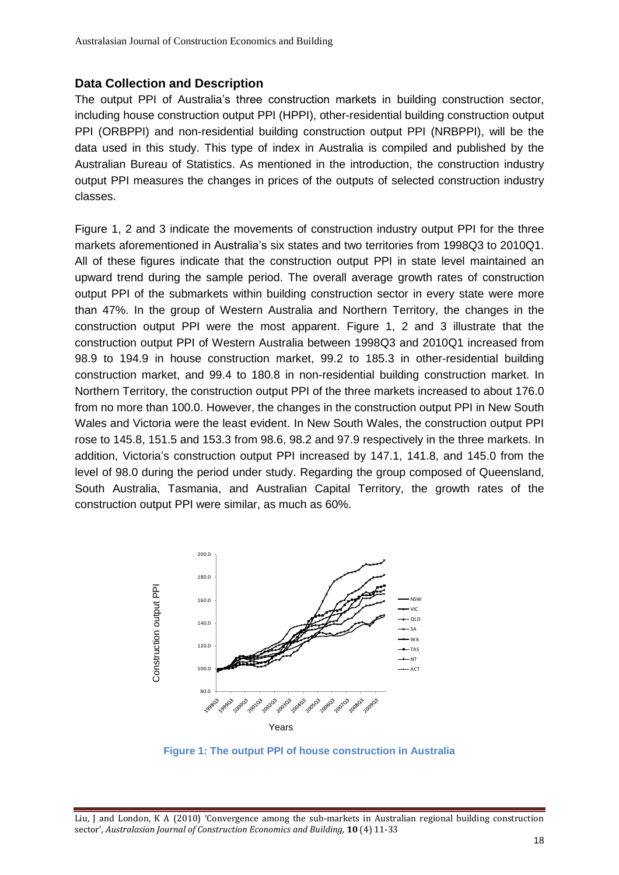#### **Data Collection and Description**

The output PPI of Australia's three construction markets in building construction sector, including house construction output PPI (HPPI), other-residential building construction output PPI (ORBPPI) and non-residential building construction output PPI (NRBPPI), will be the data used in this study. This type of index in Australia is compiled and published by the Australian Bureau of Statistics. As mentioned in the introduction, the construction industry output PPI measures the changes in prices of the outputs of selected construction industry classes.

Figure 1, 2 and 3 indicate the movements of construction industry output PPI for the three markets aforementioned in Australia's six states and two territories from 1998Q3 to 2010Q1. All of these figures indicate that the construction output PPI in state level maintained an upward trend during the sample period. The overall average growth rates of construction output PPI of the submarkets within building construction sector in every state were more than 47%. In the group of Western Australia and Northern Territory, the changes in the construction output PPI were the most apparent. Figure 1, 2 and 3 illustrate that the construction output PPI of Western Australia between 1998Q3 and 2010Q1 increased from 98.9 to 194.9 in house construction market, 99.2 to 185.3 in other-residential building construction market, and 99.4 to 180.8 in non-residential building construction market. In Northern Territory, the construction output PPI of the three markets increased to about 176.0 from no more than 100.0. However, the changes in the construction output PPI in New South Wales and Victoria were the least evident. In New South Wales, the construction output PPI rose to 145.8, 151.5 and 153.3 from 98.6, 98.2 and 97.9 respectively in the three markets. In addition, Victoria's construction output PPI increased by 147.1, 141.8, and 145.0 from the level of 98.0 during the period under study. Regarding the group composed of Queensland, South Australia, Tasmania, and Australian Capital Territory, the growth rates of the construction output PPI were similar, as much as 60%.



**Figure 1: The output PPI of house construction in Australia**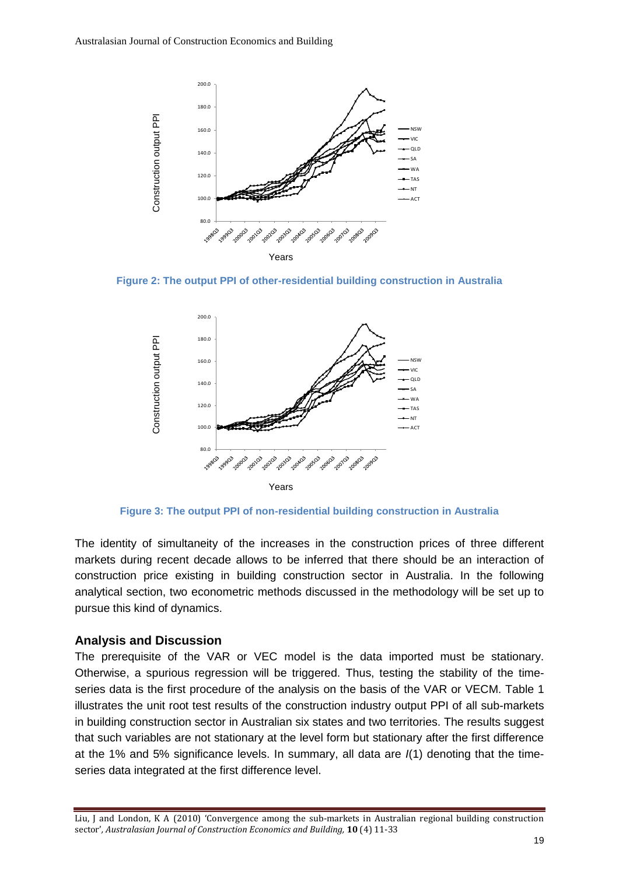

**Figure 2: The output PPI of other-residential building construction in Australia**



**Figure 3: The output PPI of non-residential building construction in Australia**

The identity of simultaneity of the increases in the construction prices of three different markets during recent decade allows to be inferred that there should be an interaction of construction price existing in building construction sector in Australia. In the following analytical section, two econometric methods discussed in the methodology will be set up to pursue this kind of dynamics.

### **Analysis and Discussion**

The prerequisite of the VAR or VEC model is the data imported must be stationary. Otherwise, a spurious regression will be triggered. Thus, testing the stability of the timeseries data is the first procedure of the analysis on the basis of the VAR or VECM. Table 1 illustrates the unit root test results of the construction industry output PPI of all sub-markets in building construction sector in Australian six states and two territories. The results suggest that such variables are not stationary at the level form but stationary after the first difference at the 1% and 5% significance levels. In summary, all data are *I*(1) denoting that the time-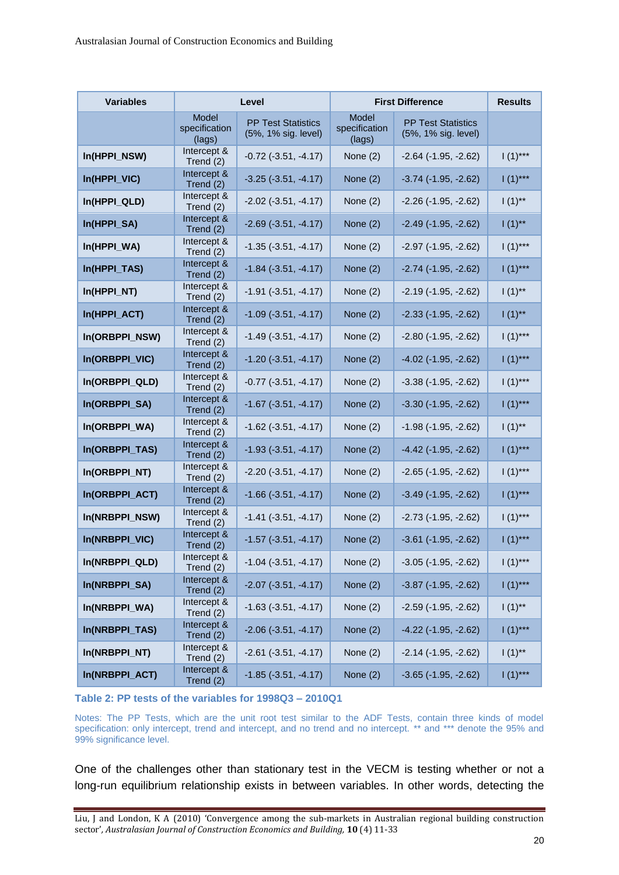| <b>Variables</b> |                                         | Level                                            | <b>First Difference</b>          | <b>Results</b>                                   |             |
|------------------|-----------------------------------------|--------------------------------------------------|----------------------------------|--------------------------------------------------|-------------|
|                  | <b>Model</b><br>specification<br>(lags) | <b>PP Test Statistics</b><br>(5%, 1% sig. level) | Model<br>specification<br>(lags) | <b>PP Test Statistics</b><br>(5%, 1% sig. level) |             |
| In(HPPI_NSW)     | Intercept &<br>Trend $(2)$              | $-0.72$ $(-3.51, -4.17)$                         | None $(2)$                       | $-2.64$ ( $-1.95$ , $-2.62$ )                    | $(1)^{***}$ |
| In(HPPI_VIC)     | Intercept &<br>Trend $(2)$              | $-3.25$ $(-3.51, -4.17)$                         | None $(2)$                       | $-3.74$ $(-1.95, -2.62)$                         | $1(1)$ ***  |
| In(HPPI_QLD)     | Intercept &<br>Trend $(2)$              | $-2.02$ $(-3.51, -4.17)$                         | None $(2)$                       | $-2.26$ ( $-1.95$ , $-2.62$ )                    | $1(1)$ **   |
| In(HPPI_SA)      | Intercept &<br>Trend $(2)$              | $-2.69$ $(-3.51, -4.17)$                         | None $(2)$                       | $-2.49(-1.95, -2.62)$                            | $1(1)$ **   |
| $In(HPPI_WA)$    | Intercept &<br>Trend $(2)$              | $-1.35$ $(-3.51, -4.17)$                         | None $(2)$                       | $-2.97$ ( $-1.95$ , $-2.62$ )                    | $(1)^{***}$ |
| In(HPPI_TAS)     | Intercept &<br>Trend $(2)$              | $-1.84$ ( $-3.51$ , $-4.17$ )                    | None $(2)$                       | $-2.74$ ( $-1.95$ , $-2.62$ )                    | $1(1)$ ***  |
| $In(HPPI_N)$     | Intercept &<br>Trend $(2)$              | $-1.91$ ( $-3.51$ , $-4.17$ )                    | None $(2)$                       | $-2.19(-1.95, -2.62)$                            | $1(1)$ **   |
| $In(HPPI_ACT)$   | Intercept &<br>Trend $(2)$              | $-1.09$ $(-3.51, -4.17)$                         | None (2)                         | $-2.33$ $(-1.95, -2.62)$                         | $1(1)$ **   |
| In(ORBPPI_NSW)   | Intercept &<br>Trend $(2)$              | $-1.49(-3.51, -4.17)$                            | None $(2)$                       | $-2.80$ ( $-1.95$ , $-2.62$ )                    | $(1)^{***}$ |
| In(ORBPPI_VIC)   | Intercept &<br>Trend $(2)$              | $-1.20$ $(-3.51, -4.17)$                         | None $(2)$                       | $-4.02$ $(-1.95, -2.62)$                         | $1(1)$ ***  |
| In(ORBPPI_QLD)   | Intercept &<br>Trend $(2)$              | $-0.77$ $(-3.51, -4.17)$                         | None $(2)$                       | $-3.38$ $(-1.95, -2.62)$                         | $(1)^{***}$ |
| In(ORBPPI_SA)    | Intercept &<br>Trend $(2)$              | $-1.67$ ( $-3.51$ , $-4.17$ )                    | None $(2)$                       | $-3.30$ $(-1.95, -2.62)$                         | $1(1)***$   |
| In(ORBPPI_WA)    | Intercept &<br>Trend $(2)$              | $-1.62$ ( $-3.51$ , $-4.17$ )                    | None $(2)$                       | $-1.98$ ( $-1.95$ , $-2.62$ )                    | $1(1)$ **   |
| In(ORBPPI_TAS)   | Intercept &<br>Trend $(2)$              | $-1.93$ $(-3.51, -4.17)$                         | None $(2)$                       | $-4.42$ ( $-1.95$ , $-2.62$ )                    | $1(1)$ ***  |
| In(ORBPPI_NT)    | Intercept &<br>Trend $(2)$              | $-2.20$ $(-3.51, -4.17)$                         | None $(2)$                       | $-2.65$ $(-1.95, -2.62)$                         | $(1)^{***}$ |
| In(ORBPPI_ACT)   | Intercept &<br>Trend $(2)$              | $-1.66$ $(-3.51, -4.17)$                         | None $(2)$                       | $-3.49(-1.95, -2.62)$                            | $1(1)$ ***  |
| In(NRBPPI_NSW)   | Intercept &<br>Trend $(2)$              | $-1.41$ $(-3.51, -4.17)$                         | None $(2)$                       | $-2.73$ $(-1.95, -2.62)$                         | $(1)^{***}$ |
| In(NRBPPI_VIC)   | Intercept &<br>Trend $(2)$              | $-1.57$ $(-3.51, -4.17)$                         | None $(2)$                       | $-3.61$ $(-1.95, -2.62)$                         | $(1)^{***}$ |
| In(NRBPPI_QLD)   | Intercept &<br>Trend $(2)$              | $-1.04$ $(-3.51, -4.17)$                         | None (2)                         | $-3.05$ $(-1.95, -2.62)$                         | $1(1)***$   |
| In(NRBPPI_SA)    | Intercept &<br>Trend $(2)$              | $-2.07$ $(-3.51, -4.17)$                         | None (2)                         | $-3.87$ $(-1.95, -2.62)$                         | $(1)$ ***   |
| In(NRBPPI_WA)    | Intercept &<br>Trend $(2)$              | $-1.63$ $(-3.51, -4.17)$                         | None (2)                         | $-2.59$ ( $-1.95$ , $-2.62$ )                    | $1(1)$ **   |
| In(NRBPPI_TAS)   | Intercept &<br>Trend $(2)$              | $-2.06$ $(-3.51, -4.17)$                         | None (2)                         | $-4.22$ $(-1.95, -2.62)$                         | $(1)$ ***   |
| In(NRBPPI_NT)    | Intercept &<br>Trend $(2)$              | $-2.61$ $(-3.51, -4.17)$                         | None (2)                         | $-2.14$ $(-1.95, -2.62)$                         | $1(1)$ **   |
| In(NRBPPI_ACT)   | Intercept &<br>Trend $(2)$              | $-1.85$ $(-3.51, -4.17)$                         | None $(2)$                       | $-3.65$ $(-1.95, -2.62)$                         | $(1)$ ***   |

**Table 2: PP tests of the variables for 1998Q3 – 2010Q1**

Notes: The PP Tests, which are the unit root test similar to the ADF Tests, contain three kinds of model specification: only intercept, trend and intercept, and no trend and no intercept. \*\* and \*\*\* denote the 95% and 99% significance level.

One of the challenges other than stationary test in the VECM is testing whether or not a long-run equilibrium relationship exists in between variables. In other words, detecting the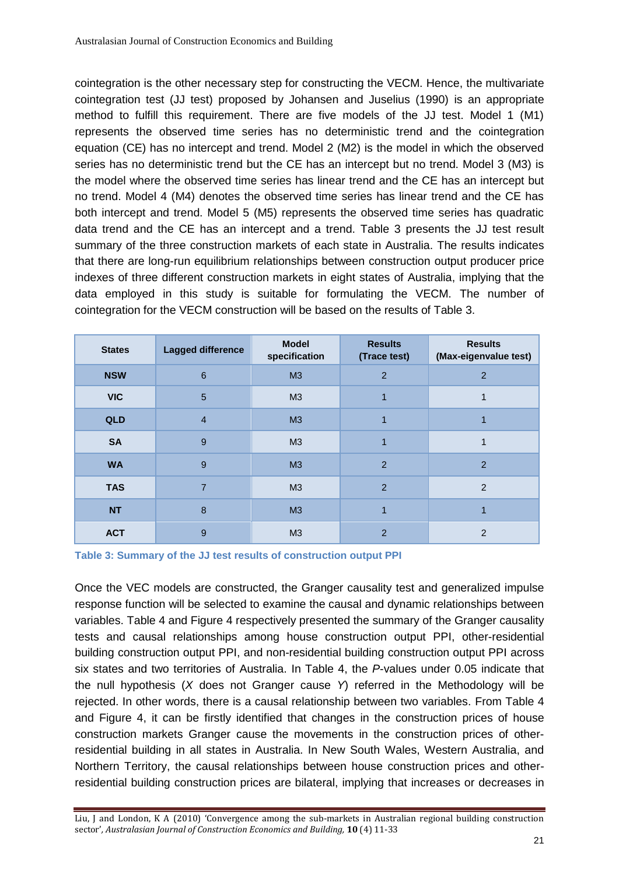cointegration is the other necessary step for constructing the VECM. Hence, the multivariate cointegration test (JJ test) proposed by Johansen and Juselius (1990) is an appropriate method to fulfill this requirement. There are five models of the JJ test. Model 1 (M1) represents the observed time series has no deterministic trend and the cointegration equation (CE) has no intercept and trend. Model 2 (M2) is the model in which the observed series has no deterministic trend but the CE has an intercept but no trend. Model 3 (M3) is the model where the observed time series has linear trend and the CE has an intercept but no trend. Model 4 (M4) denotes the observed time series has linear trend and the CE has both intercept and trend. Model 5 (M5) represents the observed time series has quadratic data trend and the CE has an intercept and a trend. Table 3 presents the JJ test result summary of the three construction markets of each state in Australia. The results indicates that there are long-run equilibrium relationships between construction output producer price indexes of three different construction markets in eight states of Australia, implying that the data employed in this study is suitable for formulating the VECM. The number of cointegration for the VECM construction will be based on the results of Table 3.

| <b>States</b> | <b>Lagged difference</b> | <b>Model</b><br>specification | <b>Results</b><br>(Trace test) | <b>Results</b><br>(Max-eigenvalue test) |  |
|---------------|--------------------------|-------------------------------|--------------------------------|-----------------------------------------|--|
| <b>NSW</b>    | $6\phantom{1}6$          | M3                            | $\overline{2}$                 | $\overline{2}$                          |  |
| <b>VIC</b>    | 5                        | M3                            | 1                              | 1                                       |  |
| QLD           | $\overline{4}$           | M3                            | $\overline{1}$                 | 1                                       |  |
| <b>SA</b>     | 9                        | M3                            | 1                              | 1                                       |  |
| <b>WA</b>     | 9                        | M3                            | 2                              | 2                                       |  |
| <b>TAS</b>    | $\overline{7}$           | M3                            | 2                              | $\overline{2}$                          |  |
| <b>NT</b>     | 8                        | M3                            |                                | 1                                       |  |
| <b>ACT</b>    | 9                        | M <sub>3</sub>                | $\overline{2}$                 | $\overline{2}$                          |  |

**Table 3: Summary of the JJ test results of construction output PPI**

Once the VEC models are constructed, the Granger causality test and generalized impulse response function will be selected to examine the causal and dynamic relationships between variables. Table 4 and Figure 4 respectively presented the summary of the Granger causality tests and causal relationships among house construction output PPI, other-residential building construction output PPI, and non-residential building construction output PPI across six states and two territories of Australia. In Table 4, the *P*-values under 0.05 indicate that the null hypothesis (*X* does not Granger cause *Y*) referred in the Methodology will be rejected. In other words, there is a causal relationship between two variables. From Table 4 and Figure 4, it can be firstly identified that changes in the construction prices of house construction markets Granger cause the movements in the construction prices of otherresidential building in all states in Australia. In New South Wales, Western Australia, and Northern Territory, the causal relationships between house construction prices and otherresidential building construction prices are bilateral, implying that increases or decreases in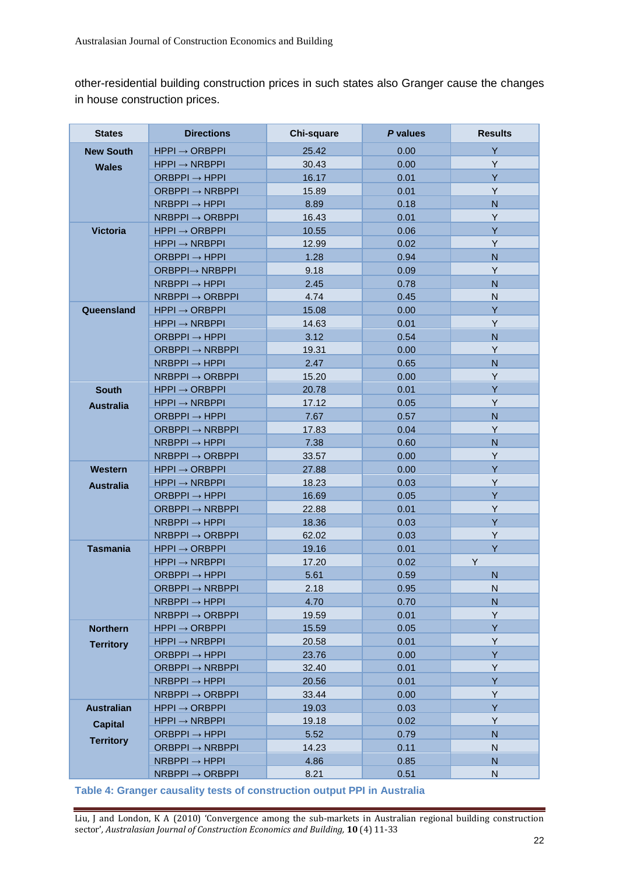other-residential building construction prices in such states also Granger cause the changes in house construction prices.

| <b>States</b>     | <b>Directions</b>                                        | <b>Chi-square</b> | P values     | <b>Results</b>          |
|-------------------|----------------------------------------------------------|-------------------|--------------|-------------------------|
| <b>New South</b>  | $HPPI \rightarrow ORBPPI$                                | 25.42             | 0.00         | Y                       |
| <b>Wales</b>      | $HPPI \rightarrow NRBPPI$                                | 30.43             | 0.00         | Y                       |
|                   | $ORBPPI \rightarrow HPPI$                                | 16.17             | 0.01         | Y                       |
|                   | $ORBPPI \rightarrow NRBPPI$                              | 15.89             | 0.01         | Y                       |
|                   | $NRBPPI \rightarrow HPPI$                                | 8.89              | 0.18         | $\overline{N}$          |
|                   | $NRBPPI \rightarrow ORBPPI$                              | 16.43             | 0.01         | Y                       |
| <b>Victoria</b>   | $HPPI \rightarrow ORBPPI$                                | 10.55             | 0.06         | Y                       |
|                   | $HPPI \rightarrow NRBPPI$                                | 12.99             | 0.02         | Y                       |
|                   | $ORBPPI \rightarrow HPPI$                                | 1.28              | 0.94         | $\mathsf{N}$            |
|                   | <b>ORBPPI→ NRBPPI</b>                                    | 9.18              | 0.09         | Y                       |
|                   | $NRBPPI \rightarrow HPPI$                                | 2.45              | 0.78         | $\mathsf{N}$            |
|                   | $NRBPPI \rightarrow ORBPPI$                              | 4.74              | 0.45         | $\mathsf{N}$            |
| Queensland        | $HPPI \rightarrow ORBPPI$                                | 15.08             | 0.00         | Y                       |
|                   | $HPPI \rightarrow NRBPPI$                                | 14.63             | 0.01         | Y                       |
|                   | $ORBPPI \rightarrow HPPI$                                | 3.12              | 0.54         | $\mathsf{N}$            |
|                   | $ORBPPI \rightarrow NRBPPI$                              | 19.31             | 0.00         | Y                       |
|                   | $NRBPPI \rightarrow HPPI$                                | 2.47              | 0.65         | $\mathsf{N}$            |
|                   | $NRBPPI \rightarrow ORBPPI$                              | 15.20             | 0.00         | Y                       |
| <b>South</b>      | $HPPI \rightarrow ORBPPI$                                | 20.78             | 0.01         | Y                       |
| <b>Australia</b>  | $HPPI \rightarrow NRBPPI$                                | 17.12             | 0.05         | Y                       |
|                   | $ORBPPI \rightarrow HPPI$                                | 7.67              | 0.57         | $\overline{N}$          |
|                   | $ORBPPI \rightarrow NRBPPI$                              | 17.83             | 0.04         | Y                       |
|                   | $NRBPPI \rightarrow HPPI$                                | 7.38              | 0.60         | $\mathsf{N}$            |
|                   | $NRBPPI \rightarrow ORBPPI$                              | 33.57             | 0.00         | Y                       |
| Western           | $HPPI \rightarrow ORBPPI$                                | 27.88             | 0.00         | Y                       |
| <b>Australia</b>  | $HPPI \rightarrow NRBPPI$                                | 18.23             | 0.03         | Y                       |
|                   | $ORBPPI \rightarrow HPPI$                                | 16.69             | 0.05         | Y                       |
|                   | $ORBPPI \rightarrow NRBPPI$                              | 22.88             | 0.01         | Y                       |
|                   | $NRBPPI \rightarrow HPPI$                                | 18.36             | 0.03         | Y                       |
|                   | $NRBPPI \rightarrow ORBPPI$                              | 62.02             | 0.03         | Y                       |
| <b>Tasmania</b>   | $HPPI \rightarrow ORBPPI$                                | 19.16             | 0.01         | Y                       |
|                   | $HPPI \rightarrow NRBPPI$                                | 17.20             | 0.02         | Υ                       |
|                   | $ORBPPI \rightarrow HPPI$                                | 5.61              | 0.59         | $\mathsf{N}$            |
|                   | ORBPPI → NRBPPI                                          | 2.18              | 0.95         | $\overline{\mathsf{N}}$ |
|                   | $NRBPPI \rightarrow HPPI$                                | 4.70              | 0.70         | N<br>Y                  |
|                   | $NRBPPI \rightarrow ORBPPI$<br>$HPPI \rightarrow ORBPPI$ | 19.59<br>15.59    | 0.01<br>0.05 | Y                       |
| <b>Northern</b>   |                                                          |                   |              | Y                       |
| <b>Territory</b>  | $HPPI \rightarrow NRBPPI$                                | 20.58<br>23.76    | 0.01<br>0.00 | Y                       |
|                   | $ORBPPI \rightarrow HPPI$<br>$ORBPPI \rightarrow NRBPPI$ |                   | 0.01         | Y                       |
|                   | $NRBPPI \rightarrow HPPI$                                | 32.40<br>20.56    | 0.01         | Y                       |
|                   | $NRBPPI \rightarrow ORBPPI$                              | 33.44             | 0.00         | Y                       |
| <b>Australian</b> | $HPPI \rightarrow ORBPPI$                                | 19.03             | 0.03         | Y                       |
|                   | $HPPI \rightarrow NRBPPI$                                | 19.18             | 0.02         | Y                       |
| <b>Capital</b>    | $ORBPPI \rightarrow HPPI$                                | 5.52              | 0.79         | $\mathsf{N}$            |
| <b>Territory</b>  | $ORBPPI \rightarrow NRBPPI$                              | 14.23             | 0.11         | N                       |
|                   | $NRBPPI \rightarrow HPPI$                                | 4.86              | 0.85         | N <sub>1</sub>          |
|                   | $NRBPPI \rightarrow ORBPPI$                              | 8.21              | 0.51         | N                       |

**Table 4: Granger causality tests of construction output PPI in Australia**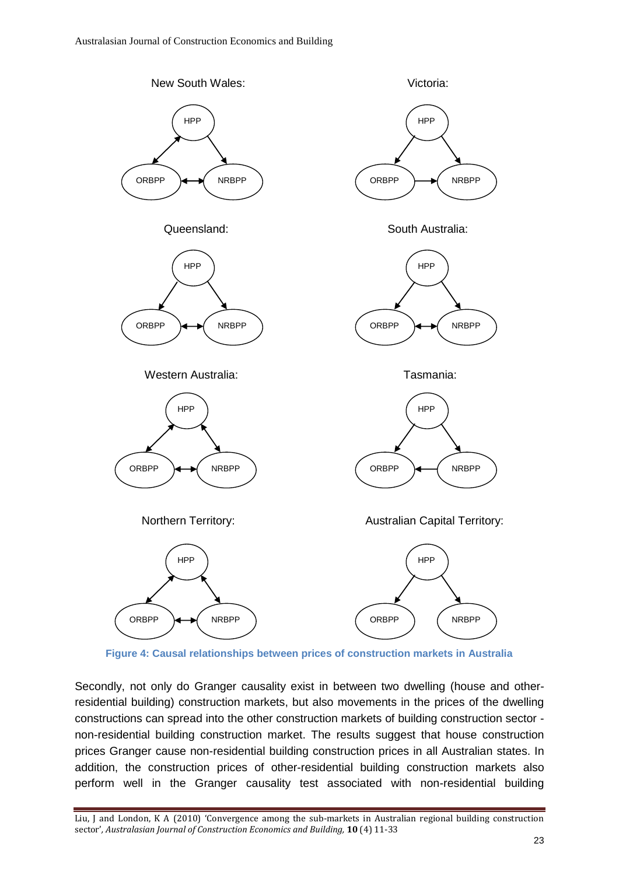

**Figure 4: Causal relationships between prices of construction markets in Australia**

Secondly, not only do Granger causality exist in between two dwelling (house and otherresidential building) construction markets, but also movements in the prices of the dwelling constructions can spread into the other construction markets of building construction sector non-residential building construction market. The results suggest that house construction prices Granger cause non-residential building construction prices in all Australian states. In addition, the construction prices of other-residential building construction markets also perform well in the Granger causality test associated with non-residential building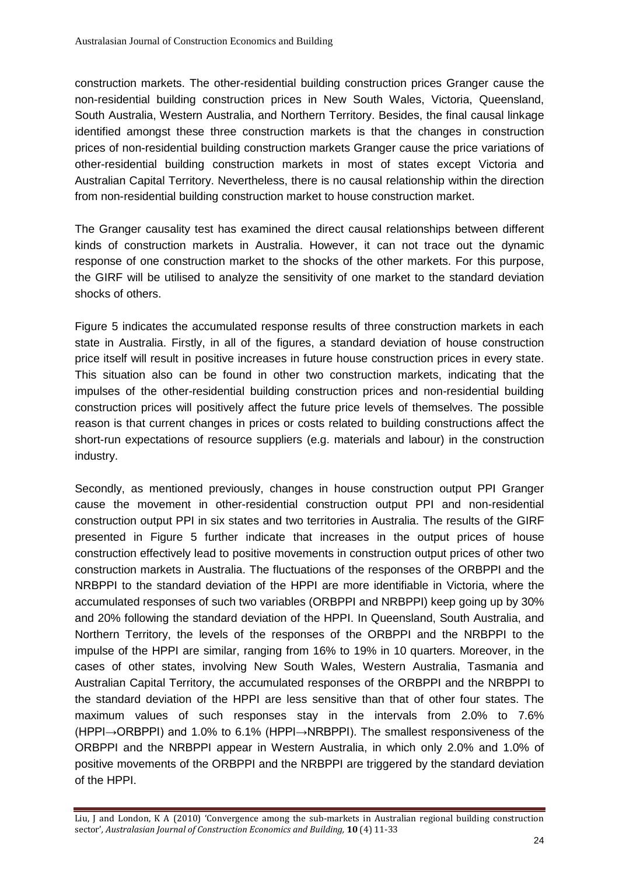construction markets. The other-residential building construction prices Granger cause the non-residential building construction prices in New South Wales, Victoria, Queensland, South Australia, Western Australia, and Northern Territory. Besides, the final causal linkage identified amongst these three construction markets is that the changes in construction prices of non-residential building construction markets Granger cause the price variations of other-residential building construction markets in most of states except Victoria and Australian Capital Territory. Nevertheless, there is no causal relationship within the direction from non-residential building construction market to house construction market.

The Granger causality test has examined the direct causal relationships between different kinds of construction markets in Australia. However, it can not trace out the dynamic response of one construction market to the shocks of the other markets. For this purpose, the GIRF will be utilised to analyze the sensitivity of one market to the standard deviation shocks of others.

Figure 5 indicates the accumulated response results of three construction markets in each state in Australia. Firstly, in all of the figures, a standard deviation of house construction price itself will result in positive increases in future house construction prices in every state. This situation also can be found in other two construction markets, indicating that the impulses of the other-residential building construction prices and non-residential building construction prices will positively affect the future price levels of themselves. The possible reason is that current changes in prices or costs related to building constructions affect the short-run expectations of resource suppliers (e.g. materials and labour) in the construction industry.

Secondly, as mentioned previously, changes in house construction output PPI Granger cause the movement in other-residential construction output PPI and non-residential construction output PPI in six states and two territories in Australia. The results of the GIRF presented in Figure 5 further indicate that increases in the output prices of house construction effectively lead to positive movements in construction output prices of other two construction markets in Australia. The fluctuations of the responses of the ORBPPI and the NRBPPI to the standard deviation of the HPPI are more identifiable in Victoria, where the accumulated responses of such two variables (ORBPPI and NRBPPI) keep going up by 30% and 20% following the standard deviation of the HPPI. In Queensland, South Australia, and Northern Territory, the levels of the responses of the ORBPPI and the NRBPPI to the impulse of the HPPI are similar, ranging from 16% to 19% in 10 quarters. Moreover, in the cases of other states, involving New South Wales, Western Australia, Tasmania and Australian Capital Territory, the accumulated responses of the ORBPPI and the NRBPPI to the standard deviation of the HPPI are less sensitive than that of other four states. The maximum values of such responses stay in the intervals from 2.0% to 7.6% (HPPI→ORBPPI) and 1.0% to 6.1% (HPPI→NRBPPI). The smallest responsiveness of the ORBPPI and the NRBPPI appear in Western Australia, in which only 2.0% and 1.0% of positive movements of the ORBPPI and the NRBPPI are triggered by the standard deviation of the HPPI.

Liu, J and London, K A (2010) 'Convergence among the sub-markets in Australian regional building construction sector'*, Australasian Journal of Construction Economics and Building,* **10** (4) 11-33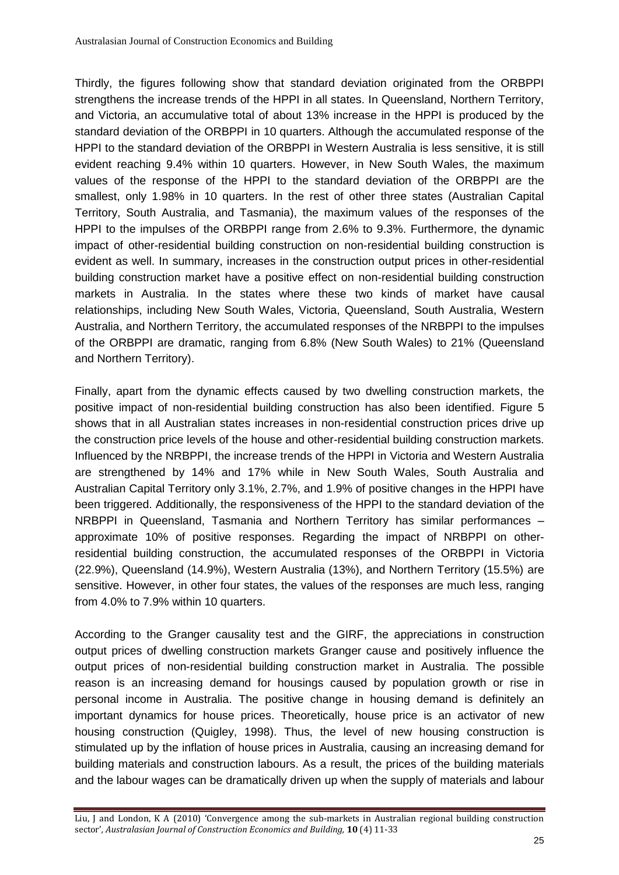Thirdly, the figures following show that standard deviation originated from the ORBPPI strengthens the increase trends of the HPPI in all states. In Queensland, Northern Territory, and Victoria, an accumulative total of about 13% increase in the HPPI is produced by the standard deviation of the ORBPPI in 10 quarters. Although the accumulated response of the HPPI to the standard deviation of the ORBPPI in Western Australia is less sensitive, it is still evident reaching 9.4% within 10 quarters. However, in New South Wales, the maximum values of the response of the HPPI to the standard deviation of the ORBPPI are the smallest, only 1.98% in 10 quarters. In the rest of other three states (Australian Capital Territory, South Australia, and Tasmania), the maximum values of the responses of the HPPI to the impulses of the ORBPPI range from 2.6% to 9.3%. Furthermore, the dynamic impact of other-residential building construction on non-residential building construction is evident as well. In summary, increases in the construction output prices in other-residential building construction market have a positive effect on non-residential building construction markets in Australia. In the states where these two kinds of market have causal relationships, including New South Wales, Victoria, Queensland, South Australia, Western Australia, and Northern Territory, the accumulated responses of the NRBPPI to the impulses of the ORBPPI are dramatic, ranging from 6.8% (New South Wales) to 21% (Queensland and Northern Territory).

Finally, apart from the dynamic effects caused by two dwelling construction markets, the positive impact of non-residential building construction has also been identified. Figure 5 shows that in all Australian states increases in non-residential construction prices drive up the construction price levels of the house and other-residential building construction markets. Influenced by the NRBPPI, the increase trends of the HPPI in Victoria and Western Australia are strengthened by 14% and 17% while in New South Wales, South Australia and Australian Capital Territory only 3.1%, 2.7%, and 1.9% of positive changes in the HPPI have been triggered. Additionally, the responsiveness of the HPPI to the standard deviation of the NRBPPI in Queensland, Tasmania and Northern Territory has similar performances – approximate 10% of positive responses. Regarding the impact of NRBPPI on otherresidential building construction, the accumulated responses of the ORBPPI in Victoria (22.9%), Queensland (14.9%), Western Australia (13%), and Northern Territory (15.5%) are sensitive. However, in other four states, the values of the responses are much less, ranging from 4.0% to 7.9% within 10 quarters.

According to the Granger causality test and the GIRF, the appreciations in construction output prices of dwelling construction markets Granger cause and positively influence the output prices of non-residential building construction market in Australia. The possible reason is an increasing demand for housings caused by population growth or rise in personal income in Australia. The positive change in housing demand is definitely an important dynamics for house prices. Theoretically, house price is an activator of new housing construction (Quigley, 1998). Thus, the level of new housing construction is stimulated up by the inflation of house prices in Australia, causing an increasing demand for building materials and construction labours. As a result, the prices of the building materials and the labour wages can be dramatically driven up when the supply of materials and labour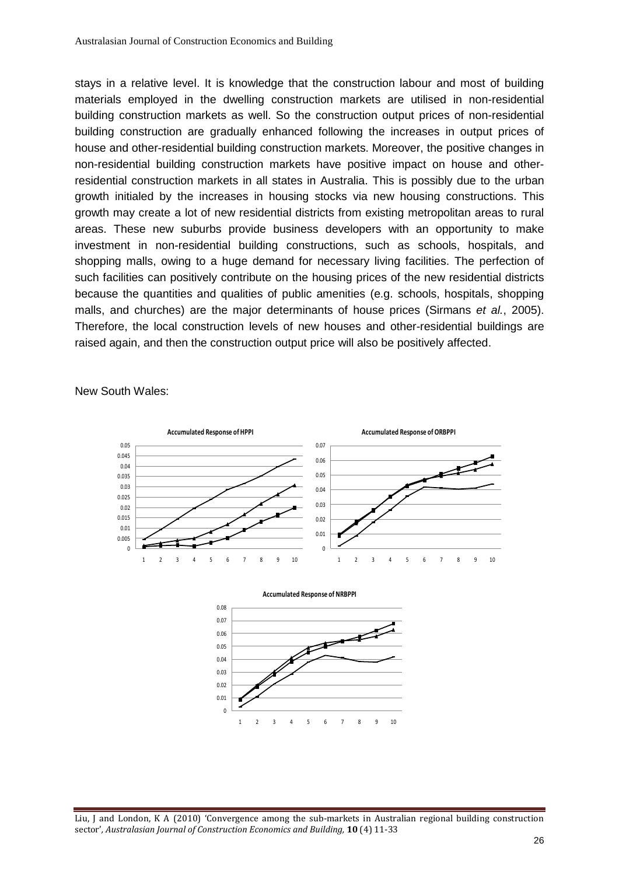stays in a relative level. It is knowledge that the construction labour and most of building materials employed in the dwelling construction markets are utilised in non-residential building construction markets as well. So the construction output prices of non-residential building construction are gradually enhanced following the increases in output prices of house and other-residential building construction markets. Moreover, the positive changes in non-residential building construction markets have positive impact on house and otherresidential construction markets in all states in Australia. This is possibly due to the urban growth initialed by the increases in housing stocks via new housing constructions. This growth may create a lot of new residential districts from existing metropolitan areas to rural areas. These new suburbs provide business developers with an opportunity to make investment in non-residential building constructions, such as schools, hospitals, and shopping malls, owing to a huge demand for necessary living facilities. The perfection of such facilities can positively contribute on the housing prices of the new residential districts because the quantities and qualities of public amenities (e.g. schools, hospitals, shopping malls, and churches) are the major determinants of house prices (Sirmans *et al.*, 2005). Therefore, the local construction levels of new houses and other-residential buildings are raised again, and then the construction output price will also be positively affected.

#### New South Wales:





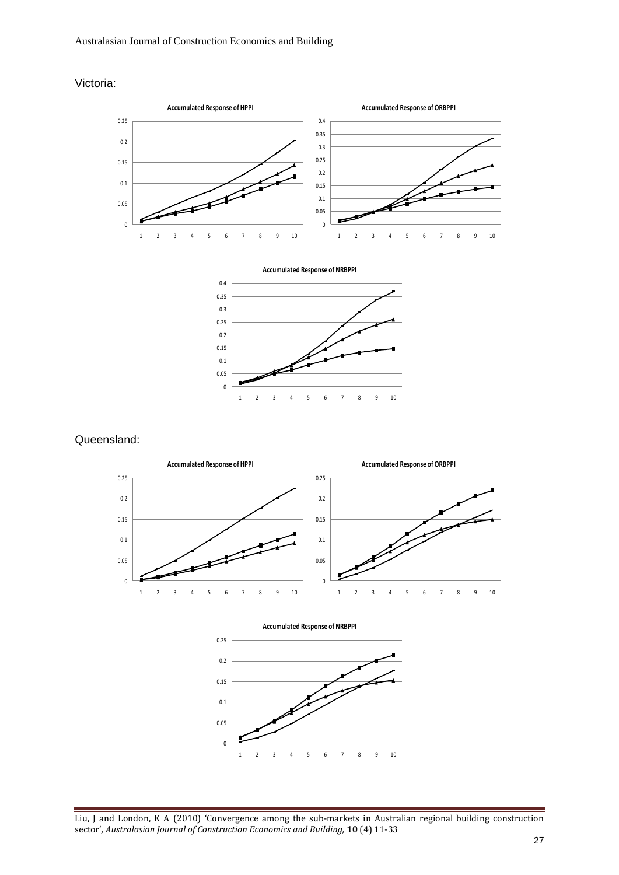







Queensland:



Liu, J and London, K A (2010) 'Convergence among the sub-markets in Australian regional building construction sector'*, Australasian Journal of Construction Economics and Building,* **10** (4) 11-33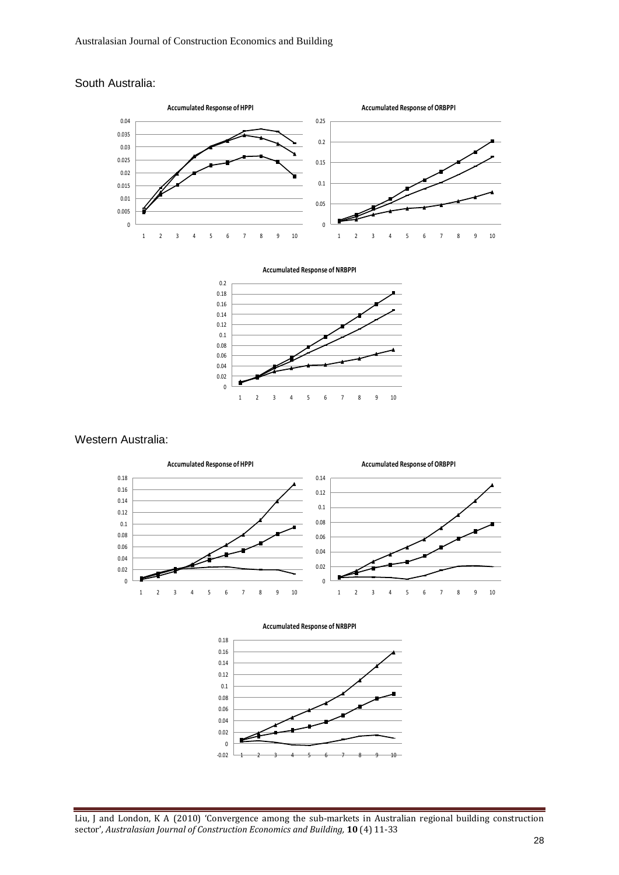$\theta$ 0.02 0.04









1 2 3 4 5 6 7 8 9 10

#### **Accumulated Response of NRBPPI**



Liu, J and London, K A (2010) 'Convergence among the sub-markets in Australian regional building construction sector'*, Australasian Journal of Construction Economics and Building,* **10** (4) 11-33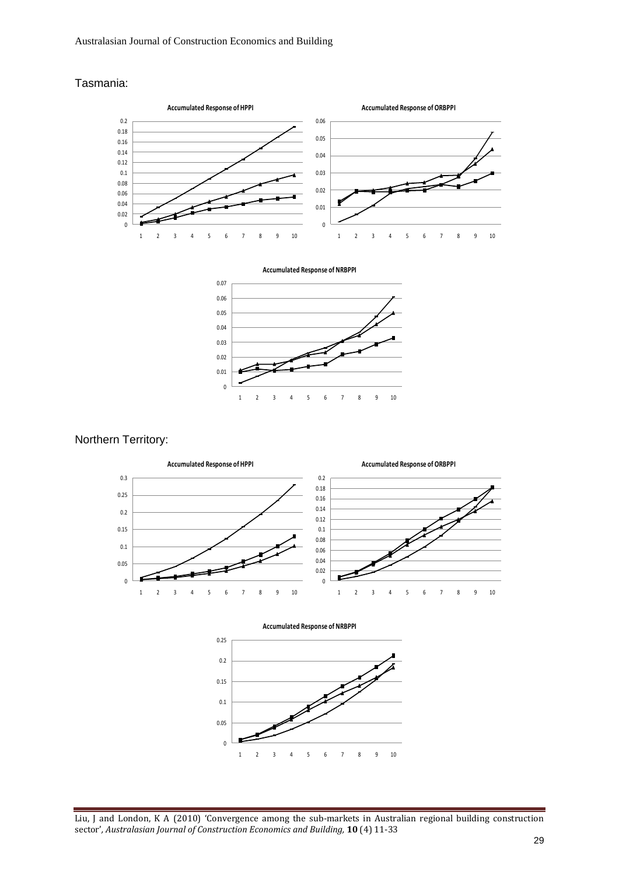



**Accumulated Response of NRBPPI**







Liu, J and London, K A (2010) 'Convergence among the sub-markets in Australian regional building construction sector'*, Australasian Journal of Construction Economics and Building,* **10** (4) 11-33

1 2 3 4 5 6 7 8 9 10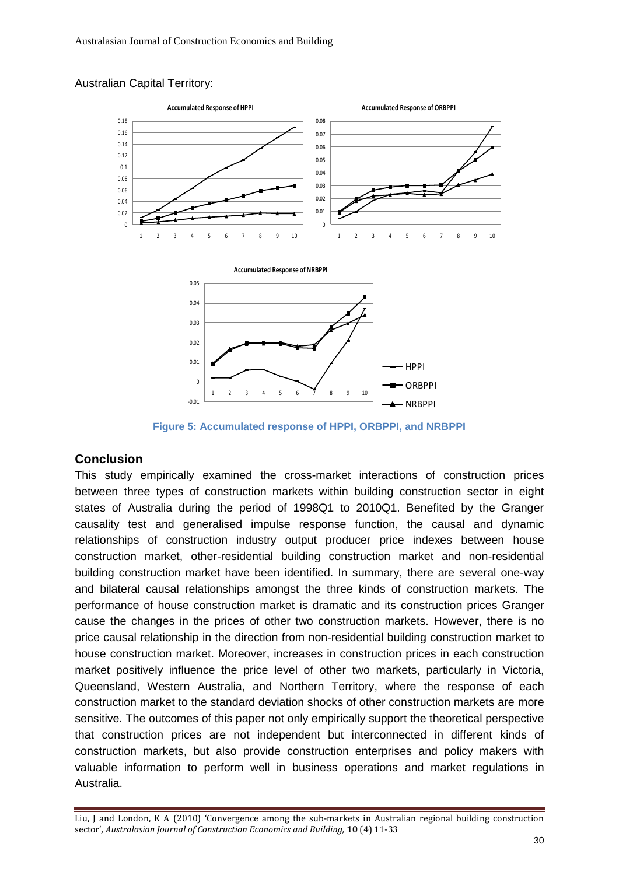### Australian Capital Territory:



**Figure 5: Accumulated response of HPPI, ORBPPI, and NRBPPI**

### **Conclusion**

This study empirically examined the cross-market interactions of construction prices between three types of construction markets within building construction sector in eight states of Australia during the period of 1998Q1 to 2010Q1. Benefited by the Granger causality test and generalised impulse response function, the causal and dynamic relationships of construction industry output producer price indexes between house construction market, other-residential building construction market and non-residential building construction market have been identified. In summary, there are several one-way and bilateral causal relationships amongst the three kinds of construction markets. The performance of house construction market is dramatic and its construction prices Granger cause the changes in the prices of other two construction markets. However, there is no price causal relationship in the direction from non-residential building construction market to house construction market. Moreover, increases in construction prices in each construction market positively influence the price level of other two markets, particularly in Victoria, Queensland, Western Australia, and Northern Territory, where the response of each construction market to the standard deviation shocks of other construction markets are more sensitive. The outcomes of this paper not only empirically support the theoretical perspective that construction prices are not independent but interconnected in different kinds of construction markets, but also provide construction enterprises and policy makers with valuable information to perform well in business operations and market regulations in Australia.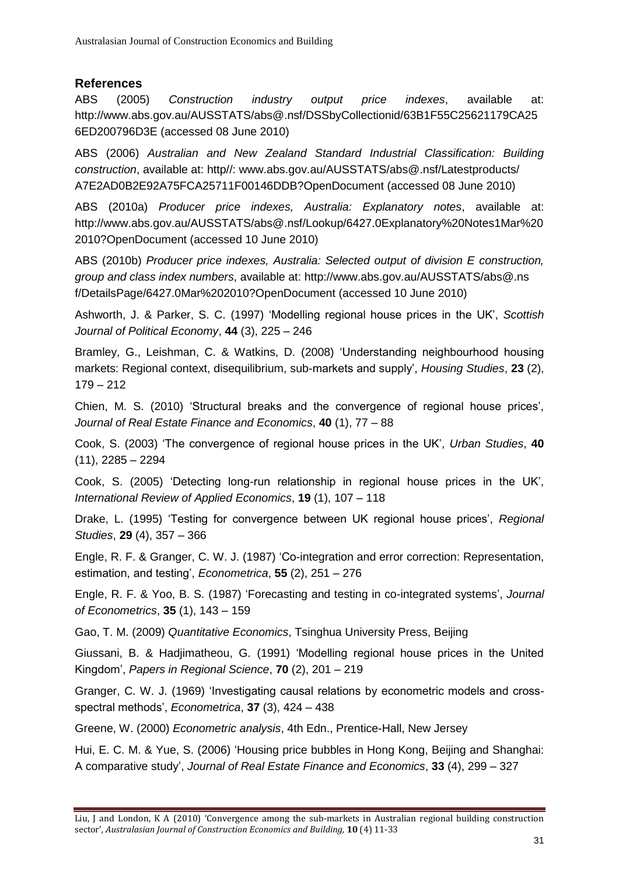## **References**

ABS (2005) *Construction industry output price indexes*, available at: http://www.abs.gov.au/AUSSTATS/abs@.nsf/DSSbyCollectionid/63B1F55C25621179CA25 6ED200796D3E (accessed 08 June 2010)

ABS (2006) *Australian and New Zealand Standard Industrial Classification: Building construction*, available at: http//: www.abs.gov.au/AUSSTATS/abs@.nsf/Latestproducts/ A7E2AD0B2E92A75FCA25711F00146DDB?OpenDocument (accessed 08 June 2010)

ABS (2010a) *Producer price indexes, Australia: Explanatory notes*, available at: http://www.abs.gov.au/AUSSTATS/abs@.nsf/Lookup/6427.0Explanatory%20Notes1Mar%20 2010?OpenDocument (accessed 10 June 2010)

ABS (2010b) *Producer price indexes, Australia: Selected output of division E construction, group and class index numbers*, available at: http://www.abs.gov.au/AUSSTATS/abs@.ns f/DetailsPage/6427.0Mar%202010?OpenDocument (accessed 10 June 2010)

Ashworth, J. & Parker, S. C. (1997) 'Modelling regional house prices in the UK', *Scottish Journal of Political Economy*, **44** (3), 225 – 246

Bramley, G., Leishman, C. & Watkins, D. (2008) 'Understanding neighbourhood housing markets: Regional context, disequilibrium, sub-markets and supply', *Housing Studies*, **23** (2), 179 – 212

Chien, M. S. (2010) 'Structural breaks and the convergence of regional house prices', *Journal of Real Estate Finance and Economics*, **40** (1), 77 – 88

Cook, S. (2003) 'The convergence of regional house prices in the UK', *Urban Studies*, **40** (11), 2285 – 2294

Cook, S. (2005) 'Detecting long-run relationship in regional house prices in the UK', *International Review of Applied Economics*, **19** (1), 107 – 118

Drake, L. (1995) 'Testing for convergence between UK regional house prices', *Regional Studies*, **29** (4), 357 – 366

Engle, R. F. & Granger, C. W. J. (1987) 'Co-integration and error correction: Representation, estimation, and testing', *Econometrica*, **55** (2), 251 – 276

Engle, R. F. & Yoo, B. S. (1987) 'Forecasting and testing in co-integrated systems', *Journal of Econometrics*, **35** (1), 143 – 159

Gao, T. M. (2009) *Quantitative Economics*, Tsinghua University Press, Beijing

Giussani, B. & Hadjimatheou, G. (1991) 'Modelling regional house prices in the United Kingdom', *Papers in Regional Science*, **70** (2), 201 – 219

Granger, C. W. J. (1969) 'Investigating causal relations by econometric models and crossspectral methods', *Econometrica*, **37** (3), 424 – 438

Greene, W. (2000) *Econometric analysis*, 4th Edn., Prentice-Hall, New Jersey

Hui, E. C. M. & Yue, S. (2006) 'Housing price bubbles in Hong Kong, Beijing and Shanghai: A comparative study', *Journal of Real Estate Finance and Economics*, **33** (4), 299 – 327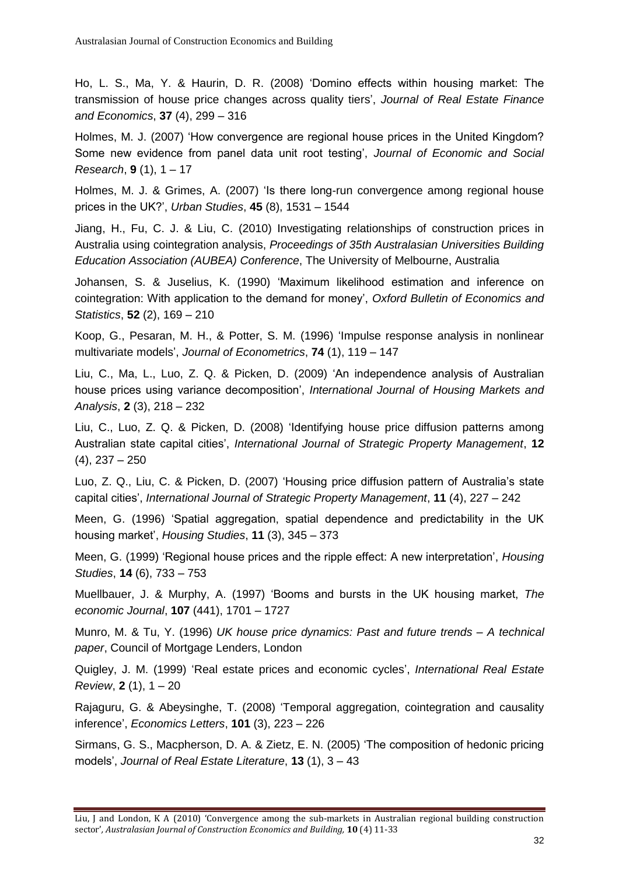Ho, L. S., Ma, Y. & Haurin, D. R. (2008) 'Domino effects within housing market: The transmission of house price changes across quality tiers', *Journal of Real Estate Finance and Economics*, **37** (4), 299 – 316

Holmes, M. J. (2007) 'How convergence are regional house prices in the United Kingdom? Some new evidence from panel data unit root testing', *Journal of Economic and Social Research*, **9** (1), 1 – 17

Holmes, M. J. & Grimes, A. (2007) 'Is there long-run convergence among regional house prices in the UK?', *Urban Studies*, **45** (8), 1531 – 1544

Jiang, H., Fu, C. J. & Liu, C. (2010) Investigating relationships of construction prices in Australia using cointegration analysis, *Proceedings of 35th Australasian Universities Building Education Association (AUBEA) Conference*, The University of Melbourne, Australia

Johansen, S. & Juselius, K. (1990) 'Maximum likelihood estimation and inference on cointegration: With application to the demand for money', *Oxford Bulletin of Economics and Statistics*, **52** (2), 169 – 210

Koop, G., Pesaran, M. H., & Potter, S. M. (1996) 'Impulse response analysis in nonlinear multivariate models', *Journal of Econometrics*, **74** (1), 119 – 147

Liu, C., Ma, L., Luo, Z. Q. & Picken, D. (2009) 'An independence analysis of Australian house prices using variance decomposition', *International Journal of Housing Markets and Analysis*, **2** (3), 218 – 232

Liu, C., Luo, Z. Q. & Picken, D. (2008) 'Identifying house price diffusion patterns among Australian state capital cities', *International Journal of Strategic Property Management*, **12**  $(4)$ , 237 – 250

Luo, Z. Q., Liu, C. & Picken, D. (2007) 'Housing price diffusion pattern of Australia's state capital cities', *International Journal of Strategic Property Management*, **11** (4), 227 – 242

Meen, G. (1996) 'Spatial aggregation, spatial dependence and predictability in the UK housing market', *Housing Studies*, **11** (3), 345 – 373

Meen, G. (1999) 'Regional house prices and the ripple effect: A new interpretation', *Housing Studies*, **14** (6), 733 – 753

Muellbauer, J. & Murphy, A. (1997) 'Booms and bursts in the UK housing market, *The economic Journal*, **107** (441), 1701 – 1727

Munro, M. & Tu, Y. (1996) *UK house price dynamics: Past and future trends – A technical paper*, Council of Mortgage Lenders, London

Quigley, J. M. (1999) 'Real estate prices and economic cycles', *International Real Estate Review*, **2** (1), 1 – 20

Rajaguru, G. & Abeysinghe, T. (2008) 'Temporal aggregation, cointegration and causality inference', *Economics Letters*, **101** (3), 223 – 226

Sirmans, G. S., Macpherson, D. A. & Zietz, E. N. (2005) 'The composition of hedonic pricing models', *Journal of Real Estate Literature*, **13** (1), 3 – 43